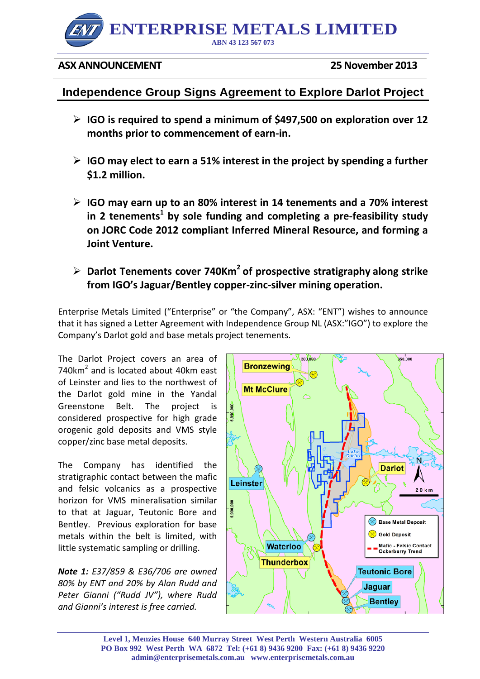

## **ASX ANNOUNCEMENT** 25 November 2013

# **Independence Group Signs Agreement to Explore Darlot Project**

- **IGO is required to spend a minimum of \$497,500 on exploration over 12 months prior to commencement of earn-in.**
- **IGO may elect to earn a 51% interest in the project by spending a further \$1.2 million.**
- **IGO may earn up to an 80% interest in 14 tenements and a 70% interest in 2 tenements<sup>1</sup> by sole funding and completing a pre-feasibility study on JORC Code 2012 compliant Inferred Mineral Resource, and forming a Joint Venture.**
- **Darlot Tenements cover 740Km2 of prospective stratigraphy along strike from IGO's Jaguar/Bentley copper-zinc-silver mining operation.**

Enterprise Metals Limited ("Enterprise" or "the Company", ASX: "ENT") wishes to announce that it has signed a Letter Agreement with Independence Group NL (ASX:"IGO") to explore the Company's Darlot gold and base metals project tenements.

The Darlot Project covers an area of 740 $km<sup>2</sup>$  and is located about 40 $km$  east of Leinster and lies to the northwest of the Darlot gold mine in the Yandal Greenstone Belt. The project is considered prospective for high grade orogenic gold deposits and VMS style copper/zinc base metal deposits.

The Company has identified the stratigraphic contact between the mafic and felsic volcanics as a prospective horizon for VMS mineralisation similar to that at Jaguar, Teutonic Bore and Bentley. Previous exploration for base metals within the belt is limited, with little systematic sampling or drilling.

*Note 1: E37/859 & E36/706 are owned 80% by ENT and 20% by Alan Rudd and Peter Gianni ("Rudd JV"), where Rudd and Gianni's interest is free carried.*



**Level 1, Menzies House 640 Murray Street West Perth Western Australia 6005 PO Box 992 West Perth WA 6872 Tel: (+61 8) 9436 9200 Fax: (+61 8) 9436 9220 admin@enterprisemetals.com.au www.enterprisemetals.com.au**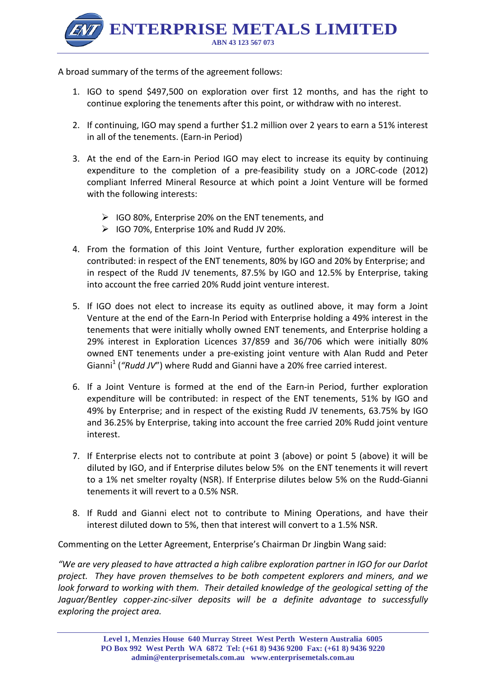**ENTERPRISE METALS LIMITED ABN 43 123 567 073**

A broad summary of the terms of the agreement follows:

- 1. IGO to spend \$497,500 on exploration over first 12 months, and has the right to continue exploring the tenements after this point, or withdraw with no interest.
- 2. If continuing, IGO may spend a further \$1.2 million over 2 years to earn a 51% interest in all of the tenements. (Earn-in Period)
- 3. At the end of the Earn-in Period IGO may elect to increase its equity by continuing expenditure to the completion of a pre-feasibility study on a JORC-code (2012) compliant Inferred Mineral Resource at which point a Joint Venture will be formed with the following interests:
	- $\triangleright$  IGO 80%, Enterprise 20% on the ENT tenements, and
	- $\triangleright$  IGO 70%, Enterprise 10% and Rudd JV 20%.
- 4. From the formation of this Joint Venture, further exploration expenditure will be contributed: in respect of the ENT tenements, 80% by IGO and 20% by Enterprise; and in respect of the Rudd JV tenements, 87.5% by IGO and 12.5% by Enterprise, taking into account the free carried 20% Rudd joint venture interest.
- 5. If IGO does not elect to increase its equity as outlined above, it may form a Joint Venture at the end of the Earn-In Period with Enterprise holding a 49% interest in the tenements that were initially wholly owned ENT tenements, and Enterprise holding a 29% interest in Exploration Licences 37/859 and 36/706 which were initially 80% owned ENT tenements under a pre-existing joint venture with Alan Rudd and Peter Gianni<sup>1</sup> ("Rudd JV") where Rudd and Gianni have a 20% free carried interest.
- 6. If a Joint Venture is formed at the end of the Earn-in Period, further exploration expenditure will be contributed: in respect of the ENT tenements, 51% by IGO and 49% by Enterprise; and in respect of the existing Rudd JV tenements, 63.75% by IGO and 36.25% by Enterprise, taking into account the free carried 20% Rudd joint venture interest.
- 7. If Enterprise elects not to contribute at point 3 (above) or point 5 (above) it will be diluted by IGO, and if Enterprise dilutes below 5% on the ENT tenements it will revert to a 1% net smelter royalty (NSR). If Enterprise dilutes below 5% on the Rudd-Gianni tenements it will revert to a 0.5% NSR.
- 8. If Rudd and Gianni elect not to contribute to Mining Operations, and have their interest diluted down to 5%, then that interest will convert to a 1.5% NSR.

Commenting on the Letter Agreement, Enterprise's Chairman Dr Jingbin Wang said:

*"We are very pleased to have attracted a high calibre exploration partner in IGO for our Darlot project. They have proven themselves to be both competent explorers and miners, and we look forward to working with them. Their detailed knowledge of the geological setting of the Jaguar/Bentley copper-zinc-silver deposits will be a definite advantage to successfully exploring the project area.*